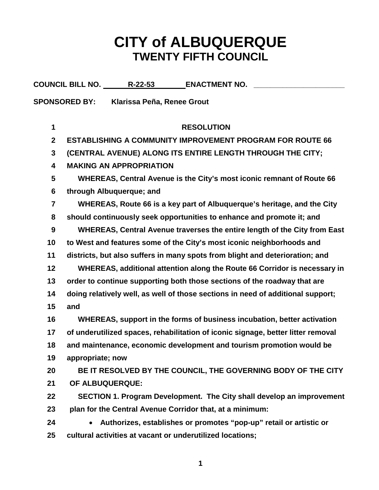## **CITY of ALBUQUERQUE TWENTY FIFTH COUNCIL**

|                         | <b>COUNCIL BILL NO. R-22-53</b><br><b>ENACTMENT NO.</b>                          |
|-------------------------|----------------------------------------------------------------------------------|
|                         | <b>SPONSORED BY:</b><br>Klarissa Peña, Renee Grout                               |
|                         |                                                                                  |
| 1                       | <b>RESOLUTION</b>                                                                |
| $\mathbf{2}$            | <b>ESTABLISHING A COMMUNITY IMPROVEMENT PROGRAM FOR ROUTE 66</b>                 |
| 3                       | (CENTRAL AVENUE) ALONG ITS ENTIRE LENGTH THROUGH THE CITY;                       |
| 4                       | <b>MAKING AN APPROPRIATION</b>                                                   |
| 5                       | WHEREAS, Central Avenue is the City's most iconic remnant of Route 66            |
| 6                       | through Albuquerque; and                                                         |
| $\overline{\mathbf{7}}$ | WHEREAS, Route 66 is a key part of Albuquerque's heritage, and the City          |
| 8                       | should continuously seek opportunities to enhance and promote it; and            |
| 9                       | WHEREAS, Central Avenue traverses the entire length of the City from East        |
| 10                      | to West and features some of the City's most iconic neighborhoods and            |
| 11                      | districts, but also suffers in many spots from blight and deterioration; and     |
| 12                      | WHEREAS, additional attention along the Route 66 Corridor is necessary in        |
| 13                      | order to continue supporting both those sections of the roadway that are         |
| 14                      | doing relatively well, as well of those sections in need of additional support;  |
| 15                      | and                                                                              |
| 16                      | WHEREAS, support in the forms of business incubation, better activation          |
| 17                      | of underutilized spaces, rehabilitation of iconic signage, better litter removal |
| 18                      | and maintenance, economic development and tourism promotion would be             |
| 19                      | appropriate; now                                                                 |
| 20                      | BE IT RESOLVED BY THE COUNCIL, THE GOVERNING BODY OF THE CITY                    |
| 21                      | OF ALBUQUERQUE:                                                                  |
| 22                      | SECTION 1. Program Development. The City shall develop an improvement            |
| 23                      | plan for the Central Avenue Corridor that, at a minimum:                         |
| 24                      | Authorizes, establishes or promotes "pop-up" retail or artistic or<br>$\bullet$  |
| 25                      | cultural activities at vacant or underutilized locations;                        |